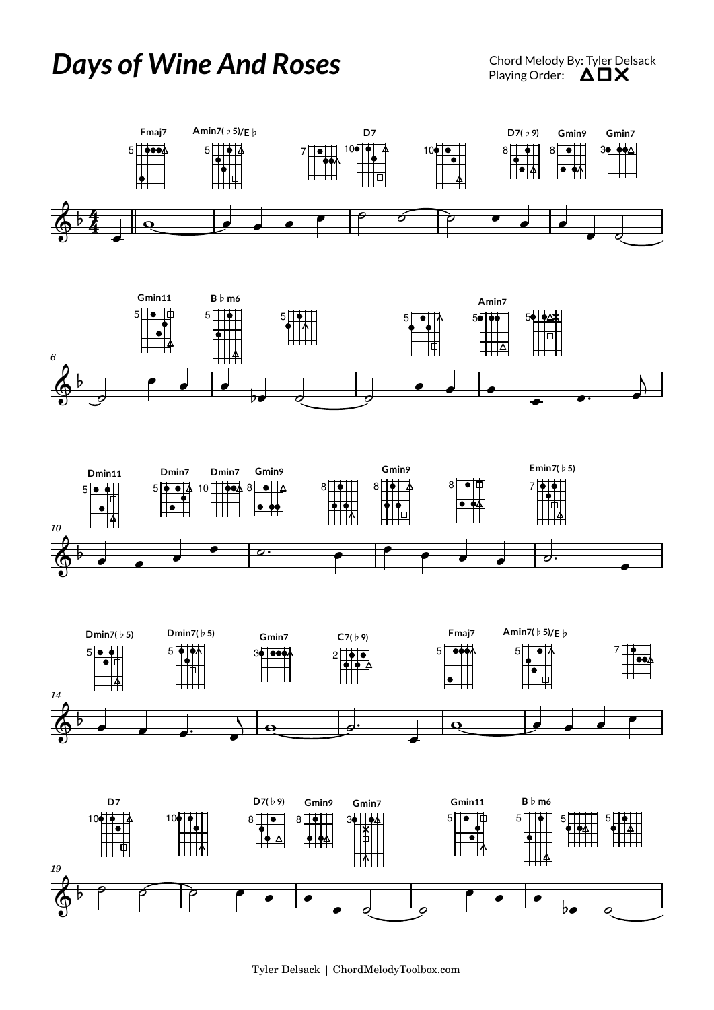## Days of Wine And Roses **Chord Melody By: Tyler Delsack** *Chord Melody By: Tyler Delsack*











Tyler Delsack | ChordMelodyToolbox.com